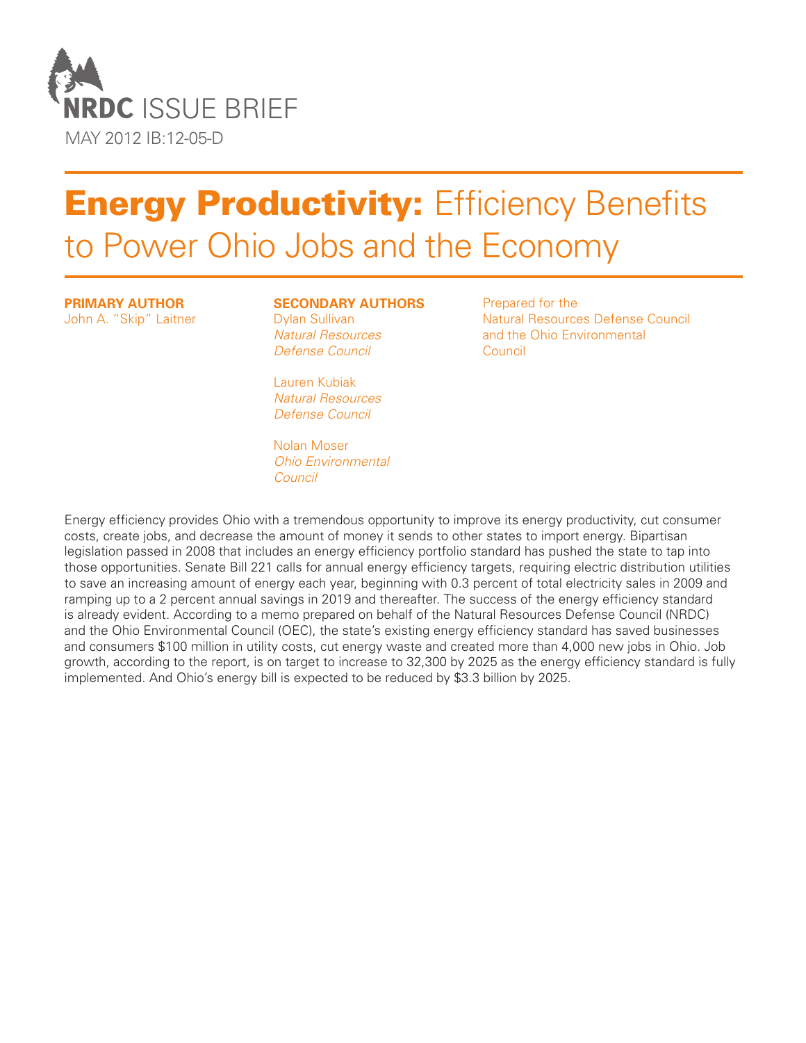

# **Energy Productivity: Efficiency Benefits** to Power Ohio Jobs and the Economy

#### **Primary Author**

John A. "Skip" Laitner

#### **Secondary Authors**

Dylan Sullivan *Natural Resources Defense Council*

Lauren Kubiak *Natural Resources Defense Council*

Nolan Moser *Ohio Environmental Council*

Prepared for the Natural Resources Defense Council and the Ohio Environmental Council

Energy efficiency provides Ohio with a tremendous opportunity to improve its energy productivity, cut consumer costs, create jobs, and decrease the amount of money it sends to other states to import energy. Bipartisan legislation passed in 2008 that includes an energy efficiency portfolio standard has pushed the state to tap into those opportunities. Senate Bill 221 calls for annual energy efficiency targets, requiring electric distribution utilities to save an increasing amount of energy each year, beginning with 0.3 percent of total electricity sales in 2009 and ramping up to a 2 percent annual savings in 2019 and thereafter. The success of the energy efficiency standard is already evident. According to a memo prepared on behalf of the Natural Resources Defense Council (NRDC) and the Ohio Environmental Council (OEC), the state's existing energy efficiency standard has saved businesses and consumers \$100 million in utility costs, cut energy waste and created more than 4,000 new jobs in Ohio. Job growth, according to the report, is on target to increase to 32,300 by 2025 as the energy efficiency standard is fully implemented. And Ohio's energy bill is expected to be reduced by \$3.3 billion by 2025.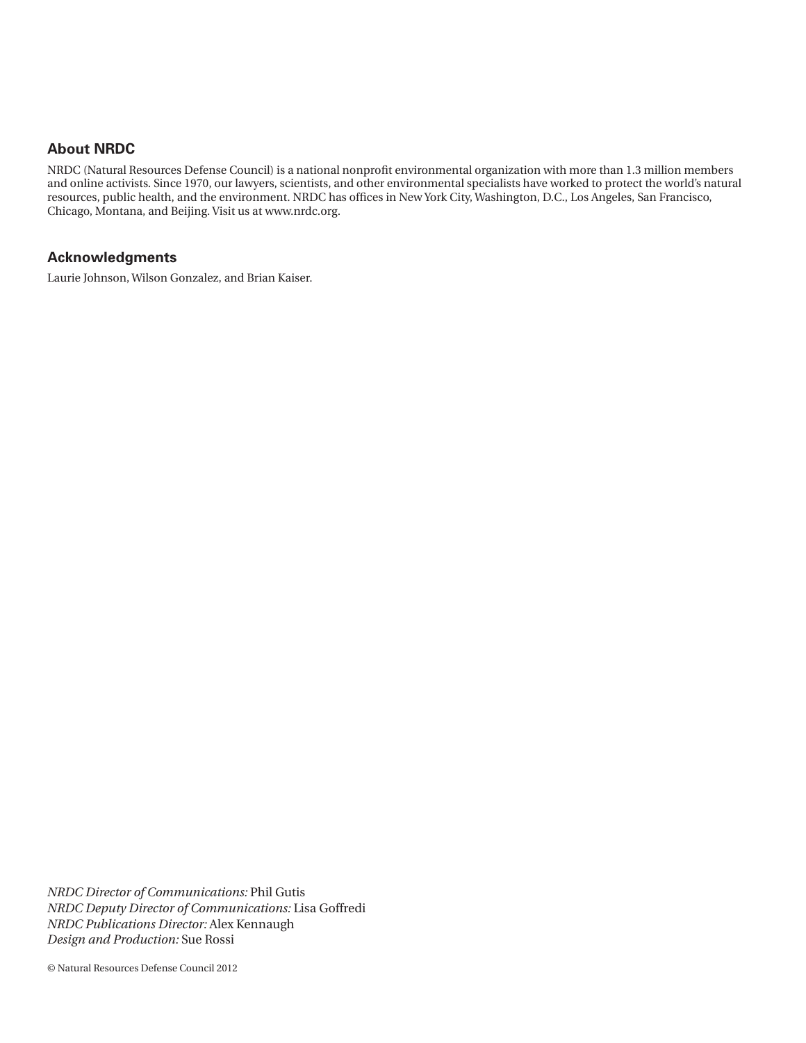## **About NRDC**

NRDC (Natural Resources Defense Council) is a national nonprofit environmental organization with more than 1.3 million members and online activists. Since 1970, our lawyers, scientists, and other environmental specialists have worked to protect the world's natural resources, public health, and the environment. NRDC has offices in New York City, Washington, D.C., Los Angeles, San Francisco, Chicago, Montana, and Beijing. Visit us at www.nrdc.org.

#### **Acknowledgments**

Laurie Johnson, Wilson Gonzalez, and Brian Kaiser.

*NRDC Director of Communications:* Phil Gutis *NRDC Deputy Director of Communications:* Lisa Goffredi *NRDC Publications Director:* Alex Kennaugh *Design and Production:* Sue Rossi

© Natural Resources Defense Council 2012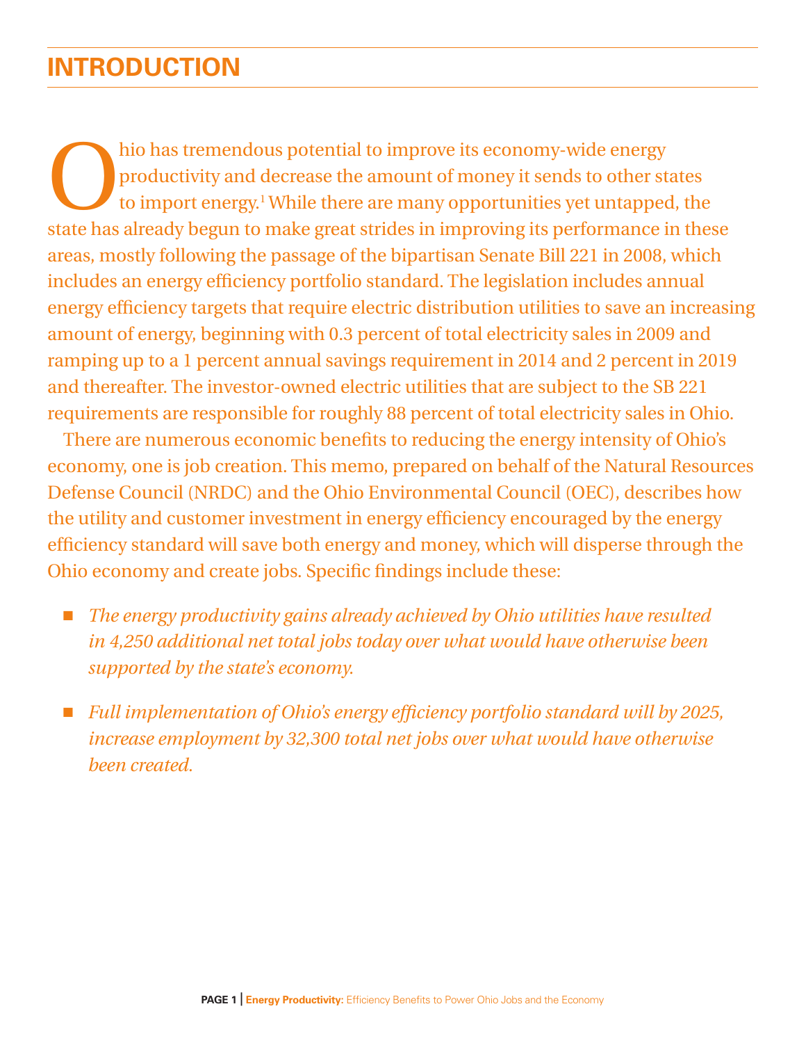# **Introduction**

hio has tremendous potential to improve its economy-wide energy<br>productivity and decrease the amount of money it sends to other st<br>to import energy.<sup>1</sup> While there are many opportunities yet untapped<br>state has already begu productivity and decrease the amount of money it sends to other states to import energy.<sup>1</sup> While there are many opportunities yet untapped, the state has already begun to make great strides in improving its performance in these areas, mostly following the passage of the bipartisan Senate Bill 221 in 2008, which includes an energy efficiency portfolio standard. The legislation includes annual energy efficiency targets that require electric distribution utilities to save an increasing amount of energy, beginning with 0.3 percent of total electricity sales in 2009 and ramping up to a 1 percent annual savings requirement in 2014 and 2 percent in 2019 and thereafter. The investor-owned electric utilities that are subject to the SB 221 requirements are responsible for roughly 88 percent of total electricity sales in Ohio.

There are numerous economic benefits to reducing the energy intensity of Ohio's economy, one is job creation. This memo, prepared on behalf of the Natural Resources Defense Council (NRDC) and the Ohio Environmental Council (OEC), describes how the utility and customer investment in energy efficiency encouraged by the energy efficiency standard will save both energy and money, which will disperse through the Ohio economy and create jobs. Specific findings include these:

- *The energy productivity gains already achieved by Ohio utilities have resulted in 4,250 additional net total jobs today over what would have otherwise been supported by the state's economy.*
- n *Full implementation of Ohio's energy efficiency portfolio standard will by 2025, increase employment by 32,300 total net jobs over what would have otherwise been created.*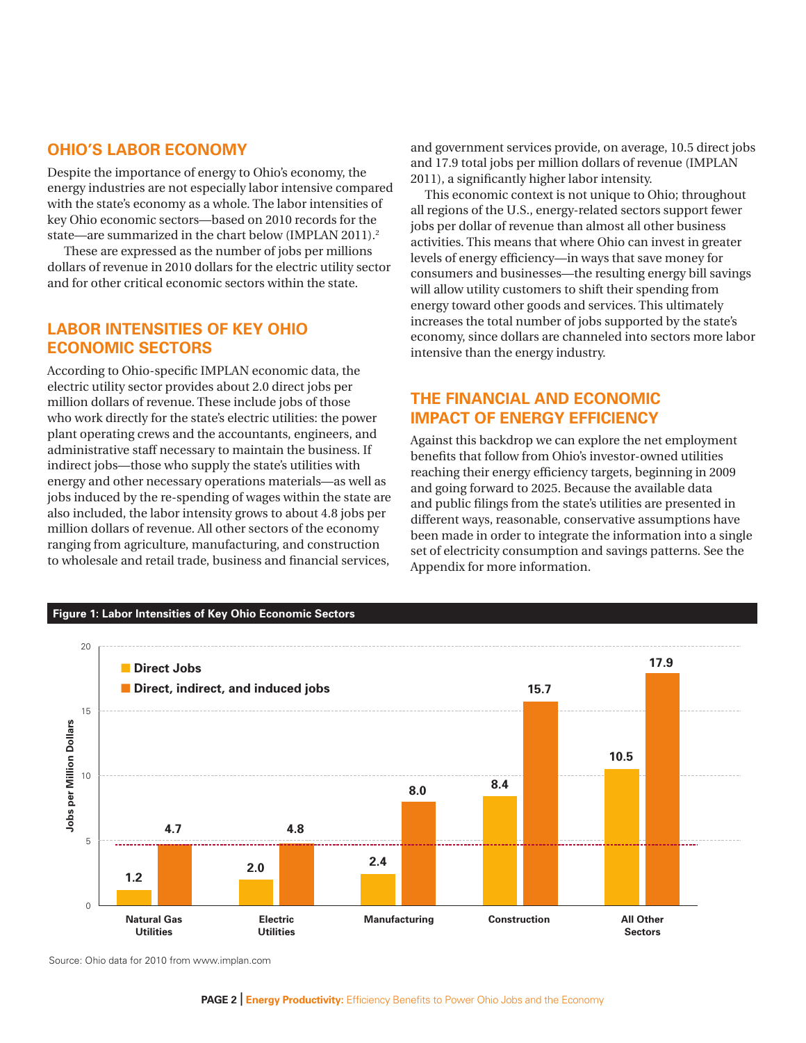# **Ohio's Labor Economy**

Despite the importance of energy to Ohio's economy, the energy industries are not especially labor intensive compared with the state's economy as a whole. The labor intensities of key Ohio economic sectors—based on 2010 records for the state—are summarized in the chart below (IMPLAN 2011).<sup>2</sup>

 These are expressed as the number of jobs per millions dollars of revenue in 2010 dollars for the electric utility sector and for other critical economic sectors within the state.

#### **Labor Intensities of Key Ohio Economic Sectors**

According to Ohio-specific IMPLAN economic data, the electric utility sector provides about 2.0 direct jobs per million dollars of revenue. These include jobs of those who work directly for the state's electric utilities: the power plant operating crews and the accountants, engineers, and administrative staff necessary to maintain the business. If indirect jobs—those who supply the state's utilities with energy and other necessary operations materials—as well as jobs induced by the re-spending of wages within the state are also included, the labor intensity grows to about 4.8 jobs per million dollars of revenue. All other sectors of the economy ranging from agriculture, manufacturing, and construction to wholesale and retail trade, business and financial services,

and government services provide, on average, 10.5 direct jobs and 17.9 total jobs per million dollars of revenue (IMPLAN 2011), a significantly higher labor intensity.

This economic context is not unique to Ohio; throughout all regions of the U.S., energy-related sectors support fewer jobs per dollar of revenue than almost all other business activities. This means that where Ohio can invest in greater levels of energy efficiency—in ways that save money for consumers and businesses—the resulting energy bill savings will allow utility customers to shift their spending from energy toward other goods and services. This ultimately increases the total number of jobs supported by the state's economy, since dollars are channeled into sectors more labor intensive than the energy industry.

# **the Financial and Economic Impact of Energy Efficiency**

Against this backdrop we can explore the net employment benefits that follow from Ohio's investor-owned utilities reaching their energy efficiency targets, beginning in 2009 and going forward to 2025. Because the available data and public filings from the state's utilities are presented in different ways, reasonable, conservative assumptions have been made in order to integrate the information into a single set of electricity consumption and savings patterns. See the Appendix for more information.



Source: Ohio data for 2010 from www.implan.com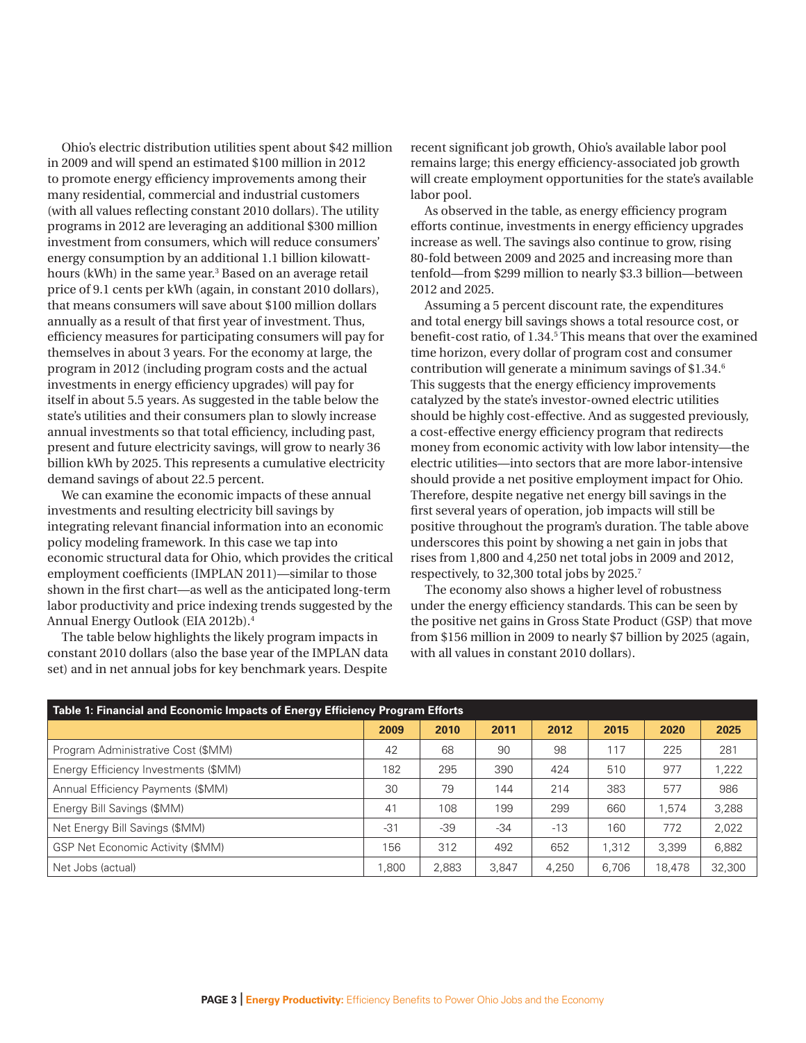Ohio's electric distribution utilities spent about \$42 million in 2009 and will spend an estimated \$100 million in 2012 to promote energy efficiency improvements among their many residential, commercial and industrial customers (with all values reflecting constant 2010 dollars). The utility programs in 2012 are leveraging an additional \$300 million investment from consumers, which will reduce consumers' energy consumption by an additional 1.1 billion kilowatthours (kWh) in the same year.<sup>3</sup> Based on an average retail price of 9.1 cents per kWh (again, in constant 2010 dollars), that means consumers will save about \$100 million dollars annually as a result of that first year of investment. Thus, efficiency measures for participating consumers will pay for themselves in about 3 years. For the economy at large, the program in 2012 (including program costs and the actual investments in energy efficiency upgrades) will pay for itself in about 5.5 years. As suggested in the table below the state's utilities and their consumers plan to slowly increase annual investments so that total efficiency, including past, present and future electricity savings, will grow to nearly 36 billion kWh by 2025. This represents a cumulative electricity demand savings of about 22.5 percent.

We can examine the economic impacts of these annual investments and resulting electricity bill savings by integrating relevant financial information into an economic policy modeling framework. In this case we tap into economic structural data for Ohio, which provides the critical employment coefficients (IMPLAN 2011)—similar to those shown in the first chart—as well as the anticipated long-term labor productivity and price indexing trends suggested by the Annual Energy Outlook (EIA 2012b).4

The table below highlights the likely program impacts in constant 2010 dollars (also the base year of the IMPLAN data set) and in net annual jobs for key benchmark years. Despite

recent significant job growth, Ohio's available labor pool remains large; this energy efficiency-associated job growth will create employment opportunities for the state's available labor pool.

As observed in the table, as energy efficiency program efforts continue, investments in energy efficiency upgrades increase as well. The savings also continue to grow, rising 80-fold between 2009 and 2025 and increasing more than tenfold—from \$299 million to nearly \$3.3 billion—between 2012 and 2025.

Assuming a 5 percent discount rate, the expenditures and total energy bill savings shows a total resource cost, or benefit-cost ratio, of 1.34.<sup>5</sup> This means that over the examined time horizon, every dollar of program cost and consumer contribution will generate a minimum savings of \$1.34.6 This suggests that the energy efficiency improvements catalyzed by the state's investor-owned electric utilities should be highly cost-effective. And as suggested previously, a cost-effective energy efficiency program that redirects money from economic activity with low labor intensity—the electric utilities—into sectors that are more labor-intensive should provide a net positive employment impact for Ohio. Therefore, despite negative net energy bill savings in the first several years of operation, job impacts will still be positive throughout the program's duration. The table above underscores this point by showing a net gain in jobs that rises from 1,800 and 4,250 net total jobs in 2009 and 2012, respectively, to 32,300 total jobs by 2025.7

The economy also shows a higher level of robustness under the energy efficiency standards. This can be seen by the positive net gains in Gross State Product (GSP) that move from \$156 million in 2009 to nearly \$7 billion by 2025 (again, with all values in constant 2010 dollars).

| Table 1: Financial and Economic Impacts of Energy Efficiency Program Efforts |       |       |       |       |       |        |        |  |  |  |
|------------------------------------------------------------------------------|-------|-------|-------|-------|-------|--------|--------|--|--|--|
|                                                                              | 2009  | 2010  | 2011  | 2012  | 2015  | 2020   | 2025   |  |  |  |
| Program Administrative Cost (\$MM)                                           | 42    | 68    | 90    | 98    | 117   | 225    | 281    |  |  |  |
| Energy Efficiency Investments (\$MM)                                         | 182   | 295   | 390   | 424   | 510   | 977    | 1,222  |  |  |  |
| Annual Efficiency Payments (\$MM)                                            | 30    | 79    | 144   | 214   | 383   | 577    | 986    |  |  |  |
| Energy Bill Savings (\$MM)                                                   | 41    | 108   | 199   | 299   | 660   | 1.574  | 3,288  |  |  |  |
| Net Energy Bill Savings (\$MM)                                               | $-31$ | -39   | $-34$ | $-13$ | 160   | 772    | 2,022  |  |  |  |
| <b>GSP Net Economic Activity (\$MM)</b>                                      | 156   | 312   | 492   | 652   | 1,312 | 3,399  | 6,882  |  |  |  |
| Net Jobs (actual)                                                            | 1,800 | 2,883 | 3.847 | 4,250 | 6,706 | 18,478 | 32,300 |  |  |  |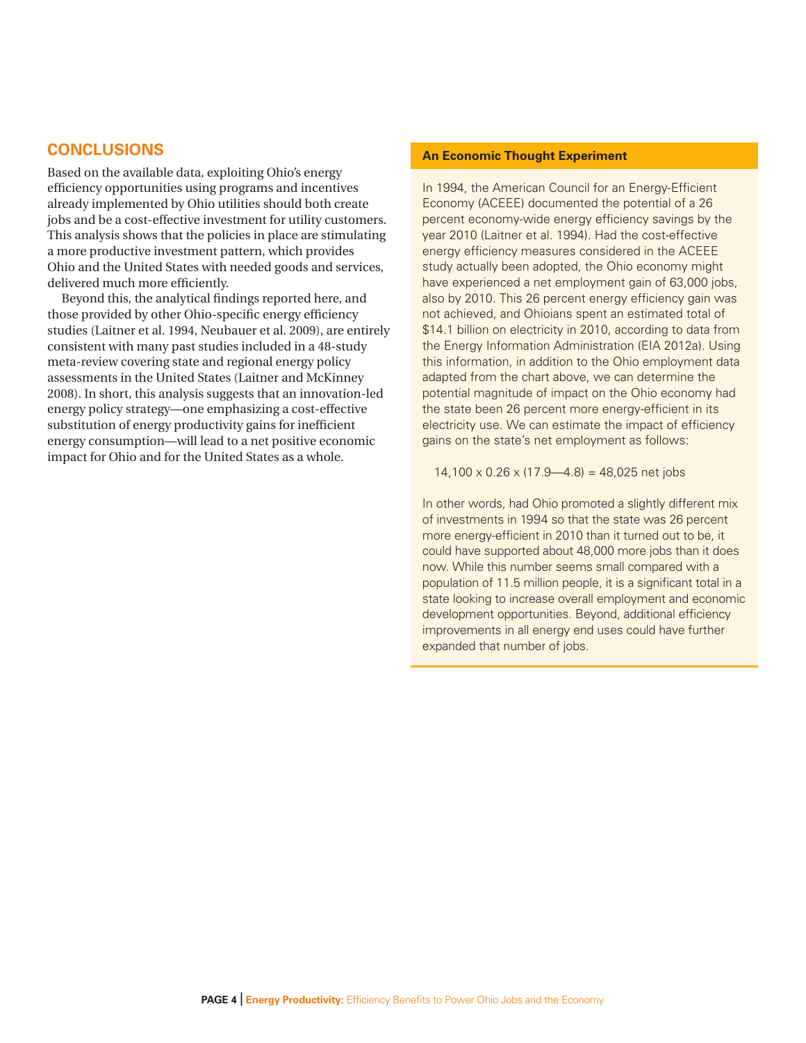#### **Conclusions**

Based on the available data, exploiting Ohio's energy efficiency opportunities using programs and incentives already implemented by Ohio utilities should both create jobs and be a cost-effective investment for utility customers. This analysis shows that the policies in place are stimulating a more productive investment pattern, which provides Ohio and the United States with needed goods and services, delivered much more efficiently.

Beyond this, the analytical findings reported here, and those provided by other Ohio-specific energy efficiency studies (Laitner et al. 1994, Neubauer et al. 2009), are entirely consistent with many past studies included in a 48-study meta-review covering state and regional energy policy assessments in the United States (Laitner and McKinney 2008). In short, this analysis suggests that an innovation-led energy policy strategy—one emphasizing a cost-effective substitution of energy productivity gains for inefficient energy consumption—will lead to a net positive economic impact for Ohio and for the United States as a whole.

#### **An Economic Thought Experiment**

In 1994, the American Council for an Energy-Efficient Economy (ACEEE) documented the potential of a 26 percent economy-wide energy efficiency savings by the year 2010 (Laitner et al. 1994). Had the cost-effective energy efficiency measures considered in the ACEEE study actually been adopted, the Ohio economy might have experienced a net employment gain of 63,000 jobs, also by 2010. This 26 percent energy efficiency gain was not achieved, and Ohioians spent an estimated total of \$14.1 billion on electricity in 2010, according to data from the Energy Information Administration (EIA 2012a). Using this information, in addition to the Ohio employment data adapted from the chart above, we can determine the potential magnitude of impact on the Ohio economy had the state been 26 percent more energy-efficient in its electricity use. We can estimate the impact of efficiency gains on the state's net employment as follows:

 $14,100 \times 0.26 \times (17.9 - 4.8) = 48,025$  net jobs

In other words, had Ohio promoted a slightly different mix of investments in 1994 so that the state was 26 percent more energy-efficient in 2010 than it turned out to be, it could have supported about 48,000 more jobs than it does now. While this number seems small compared with a population of 11.5 million people, it is a significant total in a state looking to increase overall employment and economic development opportunities. Beyond, additional efficiency improvements in all energy end uses could have further expanded that number of jobs.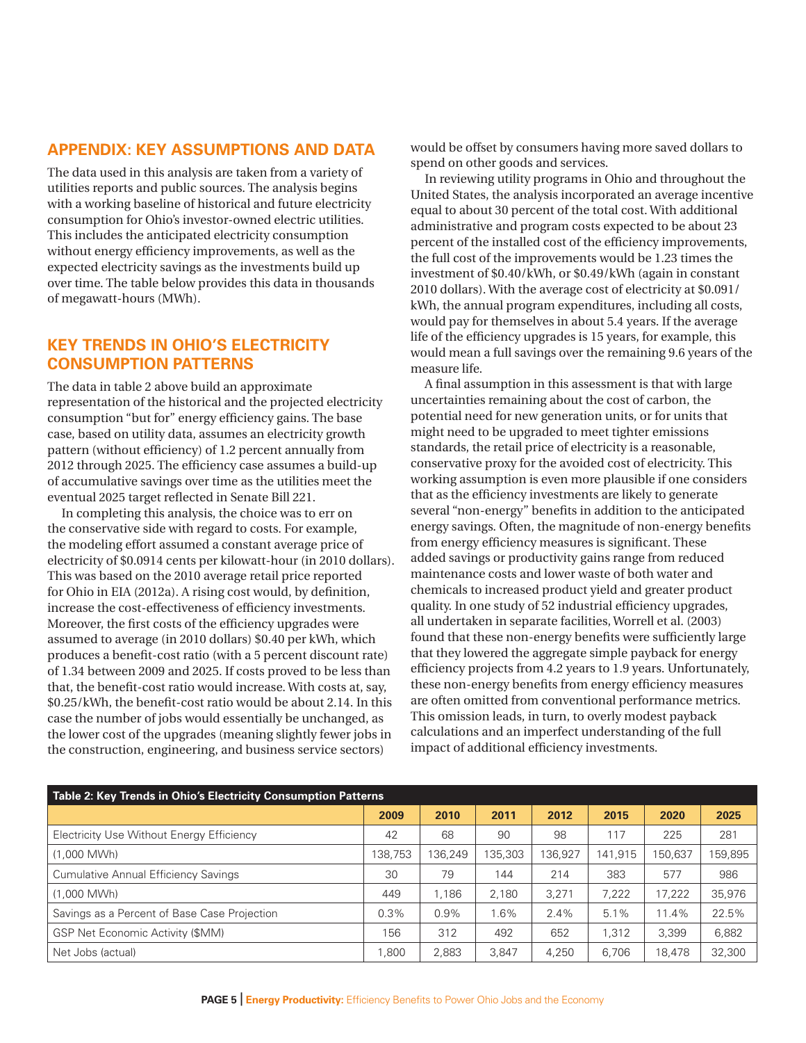#### **Appendix: Key Assumptions and Data**

The data used in this analysis are taken from a variety of utilities reports and public sources. The analysis begins with a working baseline of historical and future electricity consumption for Ohio's investor-owned electric utilities. This includes the anticipated electricity consumption without energy efficiency improvements, as well as the expected electricity savings as the investments build up over time. The table below provides this data in thousands of megawatt-hours (MWh).

#### **Key Trends in Ohio's Electricity Consumption Patterns**

The data in table 2 above build an approximate representation of the historical and the projected electricity consumption "but for" energy efficiency gains. The base case, based on utility data, assumes an electricity growth pattern (without efficiency) of 1.2 percent annually from 2012 through 2025. The efficiency case assumes a build-up of accumulative savings over time as the utilities meet the eventual 2025 target reflected in Senate Bill 221.

In completing this analysis, the choice was to err on the conservative side with regard to costs. For example, the modeling effort assumed a constant average price of electricity of \$0.0914 cents per kilowatt-hour (in 2010 dollars). This was based on the 2010 average retail price reported for Ohio in EIA (2012a). A rising cost would, by definition, increase the cost-effectiveness of efficiency investments. Moreover, the first costs of the efficiency upgrades were assumed to average (in 2010 dollars) \$0.40 per kWh, which produces a benefit-cost ratio (with a 5 percent discount rate) of 1.34 between 2009 and 2025. If costs proved to be less than that, the benefit-cost ratio would increase. With costs at, say, \$0.25/kWh, the benefit-cost ratio would be about 2.14. In this case the number of jobs would essentially be unchanged, as the lower cost of the upgrades (meaning slightly fewer jobs in the construction, engineering, and business service sectors)

would be offset by consumers having more saved dollars to spend on other goods and services.

In reviewing utility programs in Ohio and throughout the United States, the analysis incorporated an average incentive equal to about 30 percent of the total cost. With additional administrative and program costs expected to be about 23 percent of the installed cost of the efficiency improvements, the full cost of the improvements would be 1.23 times the investment of \$0.40/kWh, or \$0.49/kWh (again in constant 2010 dollars). With the average cost of electricity at \$0.091/ kWh, the annual program expenditures, including all costs, would pay for themselves in about 5.4 years. If the average life of the efficiency upgrades is 15 years, for example, this would mean a full savings over the remaining 9.6 years of the measure life.

A final assumption in this assessment is that with large uncertainties remaining about the cost of carbon, the potential need for new generation units, or for units that might need to be upgraded to meet tighter emissions standards, the retail price of electricity is a reasonable, conservative proxy for the avoided cost of electricity. This working assumption is even more plausible if one considers that as the efficiency investments are likely to generate several "non-energy" benefits in addition to the anticipated energy savings. Often, the magnitude of non-energy benefits from energy efficiency measures is significant. These added savings or productivity gains range from reduced maintenance costs and lower waste of both water and chemicals to increased product yield and greater product quality. In one study of 52 industrial efficiency upgrades, all undertaken in separate facilities, Worrell et al. (2003) found that these non-energy benefits were sufficiently large that they lowered the aggregate simple payback for energy efficiency projects from 4.2 years to 1.9 years. Unfortunately, these non-energy benefits from energy efficiency measures are often omitted from conventional performance metrics. This omission leads, in turn, to overly modest payback calculations and an imperfect understanding of the full impact of additional efficiency investments.

| Table 2: Key Trends in Ohio's Electricity Consumption Patterns |         |         |         |         |         |         |         |  |  |  |
|----------------------------------------------------------------|---------|---------|---------|---------|---------|---------|---------|--|--|--|
|                                                                | 2009    | 2010    | 2011    | 2012    | 2015    | 2020    | 2025    |  |  |  |
| Electricity Use Without Energy Efficiency                      | 42      | 68      | 90      | 98      | 117     | 225     | 281     |  |  |  |
| (1.000 MWh)                                                    | 138,753 | 136.249 | 135,303 | 136.927 | 141.915 | 150.637 | 159,895 |  |  |  |
| <b>Cumulative Annual Efficiency Savings</b>                    | 30      | 79      | 144     | 214     | 383     | 577     | 986     |  |  |  |
| $(1,000$ MWh $)$                                               | 449     | 1.186   | 2.180   | 3.271   | 7,222   | 17,222  | 35,976  |  |  |  |
| Savings as a Percent of Base Case Projection                   | 0.3%    | 0.9%    | 1.6%    | 2.4%    | $5.1\%$ | 11.4%   | 22.5%   |  |  |  |
| <b>GSP Net Economic Activity (\$MM)</b>                        | 156     | 312     | 492     | 652     | 1,312   | 3,399   | 6,882   |  |  |  |
| Net Jobs (actual)                                              | 1.800   | 2,883   | 3.847   | 4,250   | 6,706   | 18,478  | 32,300  |  |  |  |